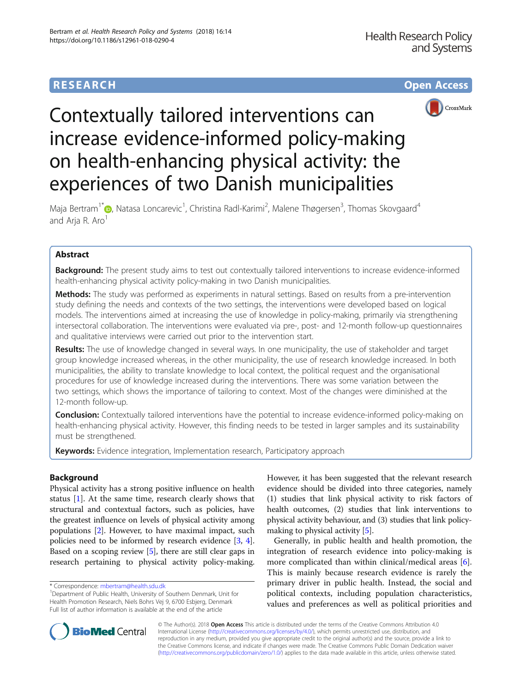

# Contextually tailored interventions can increase evidence-informed policy-making on health-enhancing physical activity: the experiences of two Danish municipalities

Maja Bertram<sup>1\*</sup>�[,](http://orcid.org/0000-0003-1398-5059) Natasa Loncarevic<sup>1</sup>, Christina Radl-Karimi<sup>2</sup>, Malene Thøgersen<sup>3</sup>, Thomas Skovgaard<sup>4</sup> and Arja R. Aro<sup>1</sup>

# Abstract

**Background:** The present study aims to test out contextually tailored interventions to increase evidence-informed health-enhancing physical activity policy-making in two Danish municipalities.

Methods: The study was performed as experiments in natural settings. Based on results from a pre-intervention study defining the needs and contexts of the two settings, the interventions were developed based on logical models. The interventions aimed at increasing the use of knowledge in policy-making, primarily via strengthening intersectoral collaboration. The interventions were evaluated via pre-, post- and 12-month follow-up questionnaires and qualitative interviews were carried out prior to the intervention start.

Results: The use of knowledge changed in several ways. In one municipality, the use of stakeholder and target group knowledge increased whereas, in the other municipality, the use of research knowledge increased. In both municipalities, the ability to translate knowledge to local context, the political request and the organisational procedures for use of knowledge increased during the interventions. There was some variation between the two settings, which shows the importance of tailoring to context. Most of the changes were diminished at the 12-month follow-up.

Conclusion: Contextually tailored interventions have the potential to increase evidence-informed policy-making on health-enhancing physical activity. However, this finding needs to be tested in larger samples and its sustainability must be strengthened.

Keywords: Evidence integration, Implementation research, Participatory approach

# Background

Physical activity has a strong positive influence on health status [[1\]](#page-9-0). At the same time, research clearly shows that structural and contextual factors, such as policies, have the greatest influence on levels of physical activity among populations [[2](#page-9-0)]. However, to have maximal impact, such policies need to be informed by research evidence [[3,](#page-9-0) [4](#page-9-0)]. Based on a scoping review [\[5](#page-9-0)], there are still clear gaps in research pertaining to physical activity policy-making.

However, it has been suggested that the relevant research evidence should be divided into three categories, namely (1) studies that link physical activity to risk factors of health outcomes, (2) studies that link interventions to physical activity behaviour, and (3) studies that link policymaking to physical activity [\[5](#page-9-0)].

Generally, in public health and health promotion, the integration of research evidence into policy-making is more complicated than within clinical/medical areas [\[6](#page-9-0)]. This is mainly because research evidence is rarely the primary driver in public health. Instead, the social and political contexts, including population characteristics, values and preferences as well as political priorities and



© The Author(s). 2018 Open Access This article is distributed under the terms of the Creative Commons Attribution 4.0 International License [\(http://creativecommons.org/licenses/by/4.0/](http://creativecommons.org/licenses/by/4.0/)), which permits unrestricted use, distribution, and reproduction in any medium, provided you give appropriate credit to the original author(s) and the source, provide a link to the Creative Commons license, and indicate if changes were made. The Creative Commons Public Domain Dedication waiver [\(http://creativecommons.org/publicdomain/zero/1.0/](http://creativecommons.org/publicdomain/zero/1.0/)) applies to the data made available in this article, unless otherwise stated.

<sup>\*</sup> Correspondence: [mbertram@health.sdu.dk](mailto:mbertram@health.sdu.dk) <sup>1</sup>

Department of Public Health, University of Southern Denmark, Unit for Health Promotion Research, Niels Bohrs Vej 9, 6700 Esbjerg, Denmark Full list of author information is available at the end of the article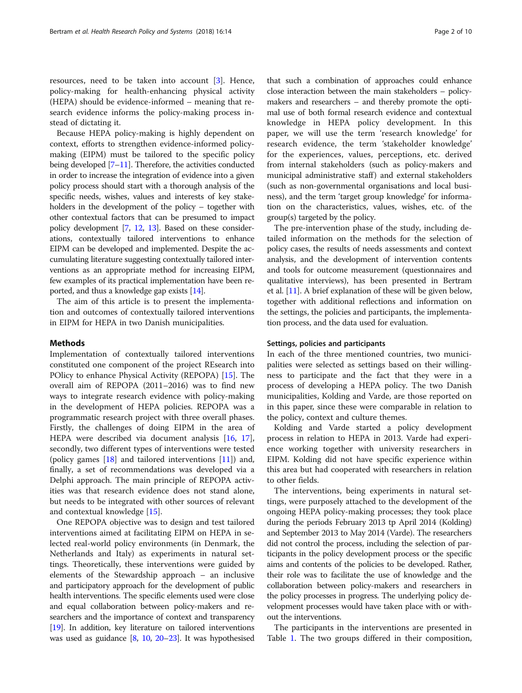resources, need to be taken into account [[3](#page-9-0)]. Hence, policy-making for health-enhancing physical activity (HEPA) should be evidence-informed – meaning that research evidence informs the policy-making process instead of dictating it.

Because HEPA policy-making is highly dependent on context, efforts to strengthen evidence-informed policymaking (EIPM) must be tailored to the specific policy being developed [\[7](#page-9-0)–[11](#page-9-0)]. Therefore, the activities conducted in order to increase the integration of evidence into a given policy process should start with a thorough analysis of the specific needs, wishes, values and interests of key stakeholders in the development of the policy – together with other contextual factors that can be presumed to impact policy development [\[7](#page-9-0), [12,](#page-9-0) [13](#page-9-0)]. Based on these considerations, contextually tailored interventions to enhance EIPM can be developed and implemented. Despite the accumulating literature suggesting contextually tailored interventions as an appropriate method for increasing EIPM, few examples of its practical implementation have been reported, and thus a knowledge gap exists [[14](#page-9-0)].

The aim of this article is to present the implementation and outcomes of contextually tailored interventions in EIPM for HEPA in two Danish municipalities.

## Methods

Implementation of contextually tailored interventions constituted one component of the project REsearch into POlicy to enhance Physical Activity (REPOPA) [\[15\]](#page-9-0). The overall aim of REPOPA (2011–2016) was to find new ways to integrate research evidence with policy-making in the development of HEPA policies. REPOPA was a programmatic research project with three overall phases. Firstly, the challenges of doing EIPM in the area of HEPA were described via document analysis [\[16](#page-9-0), [17](#page-9-0)], secondly, two different types of interventions were tested (policy games [[18\]](#page-9-0) and tailored interventions [\[11](#page-9-0)]) and, finally, a set of recommendations was developed via a Delphi approach. The main principle of REPOPA activities was that research evidence does not stand alone, but needs to be integrated with other sources of relevant and contextual knowledge [[15\]](#page-9-0).

One REPOPA objective was to design and test tailored interventions aimed at facilitating EIPM on HEPA in selected real-world policy environments (in Denmark, the Netherlands and Italy) as experiments in natural settings. Theoretically, these interventions were guided by elements of the Stewardship approach – an inclusive and participatory approach for the development of public health interventions. The specific elements used were close and equal collaboration between policy-makers and researchers and the importance of context and transparency [[19](#page-9-0)]. In addition, key literature on tailored interventions was used as guidance [\[8,](#page-9-0) [10](#page-9-0), [20](#page-9-0)–[23](#page-9-0)]. It was hypothesised that such a combination of approaches could enhance close interaction between the main stakeholders – policymakers and researchers – and thereby promote the optimal use of both formal research evidence and contextual knowledge in HEPA policy development. In this paper, we will use the term 'research knowledge' for research evidence, the term 'stakeholder knowledge' for the experiences, values, perceptions, etc. derived from internal stakeholders (such as policy-makers and municipal administrative staff) and external stakeholders (such as non-governmental organisations and local business), and the term 'target group knowledge' for information on the characteristics, values, wishes, etc. of the group(s) targeted by the policy.

The pre-intervention phase of the study, including detailed information on the methods for the selection of policy cases, the results of needs assessments and context analysis, and the development of intervention contents and tools for outcome measurement (questionnaires and qualitative interviews), has been presented in Bertram et al. [\[11](#page-9-0)]. A brief explanation of these will be given below, together with additional reflections and information on the settings, the policies and participants, the implementation process, and the data used for evaluation.

## Settings, policies and participants

In each of the three mentioned countries, two municipalities were selected as settings based on their willingness to participate and the fact that they were in a process of developing a HEPA policy. The two Danish municipalities, Kolding and Varde, are those reported on in this paper, since these were comparable in relation to the policy, context and culture themes.

Kolding and Varde started a policy development process in relation to HEPA in 2013. Varde had experience working together with university researchers in EIPM. Kolding did not have specific experience within this area but had cooperated with researchers in relation to other fields.

The interventions, being experiments in natural settings, were purposely attached to the development of the ongoing HEPA policy-making processes; they took place during the periods February 2013 tp April 2014 (Kolding) and September 2013 to May 2014 (Varde). The researchers did not control the process, including the selection of participants in the policy development process or the specific aims and contents of the policies to be developed. Rather, their role was to facilitate the use of knowledge and the collaboration between policy-makers and researchers in the policy processes in progress. The underlying policy development processes would have taken place with or without the interventions.

The participants in the interventions are presented in Table [1](#page-2-0). The two groups differed in their composition,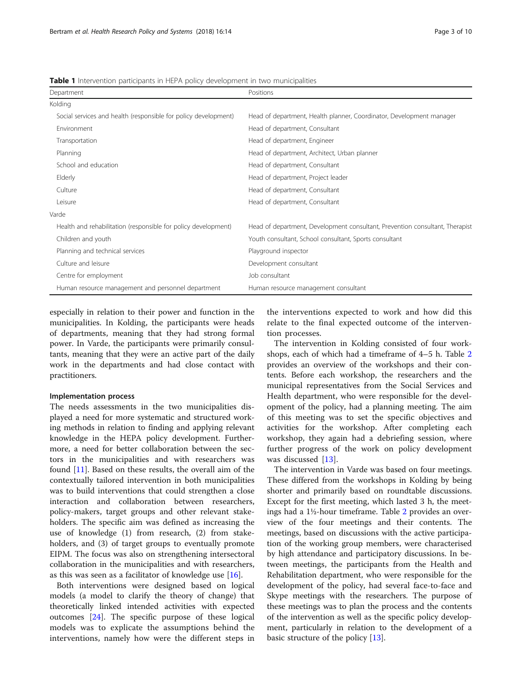<span id="page-2-0"></span>Table 1 Intervention participants in HEPA policy development in two municipalities

| Department                                                      | Positions                                                                    |
|-----------------------------------------------------------------|------------------------------------------------------------------------------|
| Kolding                                                         |                                                                              |
| Social services and health (responsible for policy development) | Head of department, Health planner, Coordinator, Development manager         |
| Fnvironment                                                     | Head of department, Consultant                                               |
| Transportation                                                  | Head of department, Engineer                                                 |
| Planning                                                        | Head of department, Architect, Urban planner                                 |
| School and education                                            | Head of department, Consultant                                               |
| Elderly                                                         | Head of department, Project leader                                           |
| Culture                                                         | Head of department, Consultant                                               |
| Leisure                                                         | Head of department, Consultant                                               |
| Varde                                                           |                                                                              |
| Health and rehabilitation (responsible for policy development)  | Head of department, Development consultant, Prevention consultant, Therapist |
| Children and youth                                              | Youth consultant, School consultant, Sports consultant                       |
| Planning and technical services                                 | Playground inspector                                                         |
| Culture and leisure                                             | Development consultant                                                       |
| Centre for employment                                           | Job consultant                                                               |
| Human resource management and personnel department              | Human resource management consultant                                         |

especially in relation to their power and function in the municipalities. In Kolding, the participants were heads of departments, meaning that they had strong formal power. In Varde, the participants were primarily consultants, meaning that they were an active part of the daily work in the departments and had close contact with practitioners.

### Implementation process

The needs assessments in the two municipalities displayed a need for more systematic and structured working methods in relation to finding and applying relevant knowledge in the HEPA policy development. Furthermore, a need for better collaboration between the sectors in the municipalities and with researchers was found [[11\]](#page-9-0). Based on these results, the overall aim of the contextually tailored intervention in both municipalities was to build interventions that could strengthen a close interaction and collaboration between researchers, policy-makers, target groups and other relevant stakeholders. The specific aim was defined as increasing the use of knowledge (1) from research, (2) from stakeholders, and (3) of target groups to eventually promote EIPM. The focus was also on strengthening intersectoral collaboration in the municipalities and with researchers, as this was seen as a facilitator of knowledge use  $[16]$ .

Both interventions were designed based on logical models (a model to clarify the theory of change) that theoretically linked intended activities with expected outcomes [\[24](#page-9-0)]. The specific purpose of these logical models was to explicate the assumptions behind the interventions, namely how were the different steps in the interventions expected to work and how did this relate to the final expected outcome of the intervention processes.

The intervention in Kolding consisted of four workshops, each of which had a timeframe of 4–5 h. Table [2](#page-3-0) provides an overview of the workshops and their contents. Before each workshop, the researchers and the municipal representatives from the Social Services and Health department, who were responsible for the development of the policy, had a planning meeting. The aim of this meeting was to set the specific objectives and activities for the workshop. After completing each workshop, they again had a debriefing session, where further progress of the work on policy development was discussed [\[13](#page-9-0)].

The intervention in Varde was based on four meetings. These differed from the workshops in Kolding by being shorter and primarily based on roundtable discussions. Except for the first meeting, which lasted 3 h, the meetings had a 1½-hour timeframe. Table [2](#page-3-0) provides an overview of the four meetings and their contents. The meetings, based on discussions with the active participation of the working group members, were characterised by high attendance and participatory discussions. In between meetings, the participants from the Health and Rehabilitation department, who were responsible for the development of the policy, had several face-to-face and Skype meetings with the researchers. The purpose of these meetings was to plan the process and the contents of the intervention as well as the specific policy development, particularly in relation to the development of a basic structure of the policy [[13\]](#page-9-0).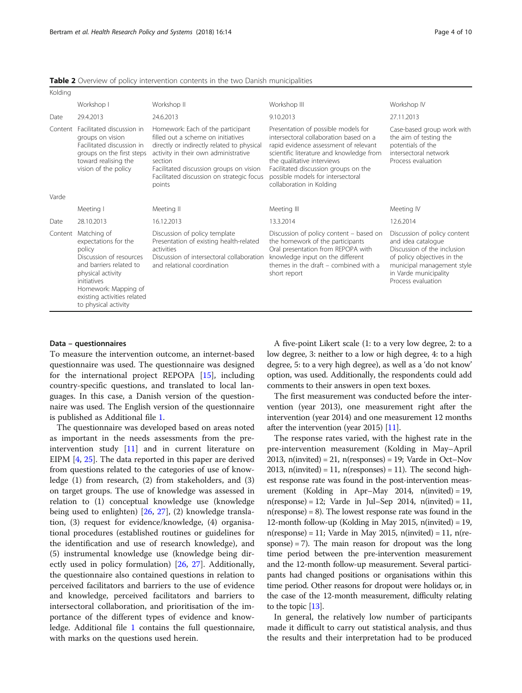| Kolding |                                                                                                                                                                                                                        |                                                                                                                                                                                                                                                                            |                                                                                                                                                                                                                                                                                                           |                                                                                                                                                                                               |  |  |
|---------|------------------------------------------------------------------------------------------------------------------------------------------------------------------------------------------------------------------------|----------------------------------------------------------------------------------------------------------------------------------------------------------------------------------------------------------------------------------------------------------------------------|-----------------------------------------------------------------------------------------------------------------------------------------------------------------------------------------------------------------------------------------------------------------------------------------------------------|-----------------------------------------------------------------------------------------------------------------------------------------------------------------------------------------------|--|--|
|         | Workshop I                                                                                                                                                                                                             | Workshop II                                                                                                                                                                                                                                                                | Workshop III                                                                                                                                                                                                                                                                                              | Workshop IV                                                                                                                                                                                   |  |  |
| Date    | 29.4.2013                                                                                                                                                                                                              | 24.6.2013                                                                                                                                                                                                                                                                  | 9.10.2013                                                                                                                                                                                                                                                                                                 | 27.11.2013                                                                                                                                                                                    |  |  |
| Content | Facilitated discussion in<br>groups on vision<br>Facilitated discussion in<br>groups on the first steps<br>toward realising the<br>vision of the policy                                                                | Homework: Each of the participant<br>filled out a scheme on initiatives<br>directly or indirectly related to physical<br>activity in their own administrative<br>section<br>Facilitated discussion groups on vision<br>Facilitated discussion on strategic focus<br>points | Presentation of possible models for<br>intersectoral collaboration based on a<br>rapid evidence assessment of relevant<br>scientific literature and knowledge from<br>the qualitative interviews<br>Facilitated discussion groups on the<br>possible models for intersectoral<br>collaboration in Kolding | Case-based group work with<br>the aim of testing the<br>potentials of the<br>intersectoral network<br>Process evaluation                                                                      |  |  |
| Varde   |                                                                                                                                                                                                                        |                                                                                                                                                                                                                                                                            |                                                                                                                                                                                                                                                                                                           |                                                                                                                                                                                               |  |  |
|         | Meeting I                                                                                                                                                                                                              | Meeting II                                                                                                                                                                                                                                                                 | Meeting III                                                                                                                                                                                                                                                                                               | Meeting IV                                                                                                                                                                                    |  |  |
| Date    | 28.10.2013                                                                                                                                                                                                             | 16.12.2013                                                                                                                                                                                                                                                                 | 13.3.2014                                                                                                                                                                                                                                                                                                 | 12.6.2014                                                                                                                                                                                     |  |  |
| Content | Matching of<br>expectations for the<br>policy<br>Discussion of resources<br>and barriers related to<br>physical activity<br>initiatives<br>Homework: Mapping of<br>existing activities related<br>to physical activity | Discussion of policy template<br>Presentation of existing health-related<br>activities<br>Discussion of intersectoral collaboration<br>and relational coordination                                                                                                         | Discussion of policy content - based on<br>the homework of the participants<br>Oral presentation from REPOPA with<br>knowledge input on the different<br>themes in the draft – combined with a<br>short report                                                                                            | Discussion of policy content<br>and idea catalogue<br>Discussion of the inclusion<br>of policy objectives in the<br>municipal management style<br>in Varde municipality<br>Process evaluation |  |  |

<span id="page-3-0"></span>**Table 2** Overview of policy intervention contents in the two Danish municipalities

## Data – questionnaires

To measure the intervention outcome, an internet-based questionnaire was used. The questionnaire was designed for the international project REPOPA [\[15](#page-9-0)], including country-specific questions, and translated to local languages. In this case, a Danish version of the questionnaire was used. The English version of the questionnaire is published as Additional file [1.](#page-8-0)

The questionnaire was developed based on areas noted as important in the needs assessments from the preintervention study [[11](#page-9-0)] and in current literature on EIPM [\[4](#page-9-0), [25\]](#page-9-0). The data reported in this paper are derived from questions related to the categories of use of knowledge (1) from research, (2) from stakeholders, and (3) on target groups. The use of knowledge was assessed in relation to (1) conceptual knowledge use (knowledge being used to enlighten) [[26,](#page-9-0) [27](#page-9-0)], (2) knowledge translation, (3) request for evidence/knowledge, (4) organisational procedures (established routines or guidelines for the identification and use of research knowledge), and (5) instrumental knowledge use (knowledge being directly used in policy formulation) [[26](#page-9-0), [27\]](#page-9-0). Additionally, the questionnaire also contained questions in relation to perceived facilitators and barriers to the use of evidence and knowledge, perceived facilitators and barriers to intersectoral collaboration, and prioritisation of the importance of the different types of evidence and knowledge. Additional file [1](#page-8-0) contains the full questionnaire, with marks on the questions used herein.

A five-point Likert scale (1: to a very low degree, 2: to a low degree, 3: neither to a low or high degree, 4: to a high degree, 5: to a very high degree), as well as a 'do not know' option, was used. Additionally, the respondents could add comments to their answers in open text boxes.

The first measurement was conducted before the intervention (year 2013), one measurement right after the intervention (year 2014) and one measurement 12 months after the intervention (year 2015) [[11](#page-9-0)].

The response rates varied, with the highest rate in the pre-intervention measurement (Kolding in May–April 2013,  $n$ (invited) = 21,  $n$ (responses) = 19; Varde in Oct–Nov 2013,  $n$ (invited) = 11,  $n$ (responses) = 11). The second highest response rate was found in the post-intervention measurement (Kolding in Apr–May 2014, n(invited) = 19,  $n(response) = 12$ ; Varde in Jul–Sep 2014,  $n(invited) = 11$ ,  $n$ (response) = 8). The lowest response rate was found in the 12-month follow-up (Kolding in May 2015, n(invited) = 19,  $n$ (response) = 11; Varde in May 2015,  $n$ (invited) = 11,  $n$ (re $sponse$ ) = 7). The main reason for dropout was the long time period between the pre-intervention measurement and the 12-month follow-up measurement. Several participants had changed positions or organisations within this time period. Other reasons for dropout were holidays or, in the case of the 12-month measurement, difficulty relating to the topic [\[13\]](#page-9-0).

In general, the relatively low number of participants made it difficult to carry out statistical analysis, and thus the results and their interpretation had to be produced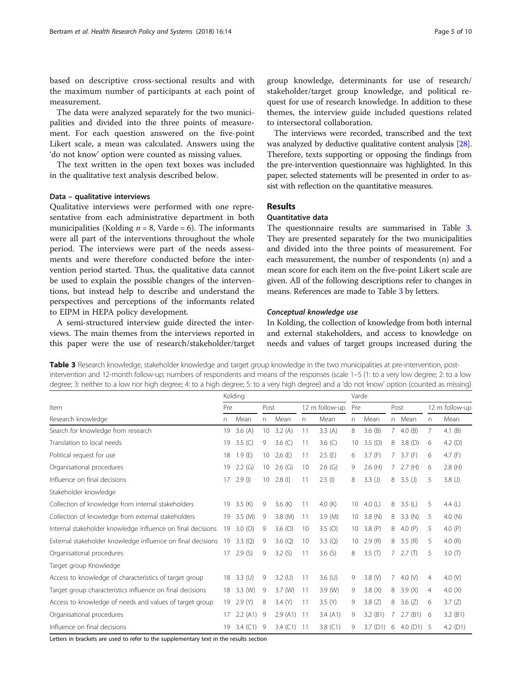based on descriptive cross-sectional results and with the maximum number of participants at each point of measurement.

The data were analyzed separately for the two municipalities and divided into the three points of measurement. For each question answered on the five-point Likert scale, a mean was calculated. Answers using the 'do not know' option were counted as missing values.

The text written in the open text boxes was included in the qualitative text analysis described below.

## Data – qualitative interviews

Qualitative interviews were performed with one representative from each administrative department in both municipalities (Kolding  $n = 8$ , Varde = 6). The informants were all part of the interventions throughout the whole period. The interviews were part of the needs assessments and were therefore conducted before the intervention period started. Thus, the qualitative data cannot be used to explain the possible changes of the interventions, but instead help to describe and understand the perspectives and perceptions of the informants related to EIPM in HEPA policy development.

A semi-structured interview guide directed the interviews. The main themes from the interviews reported in this paper were the use of research/stakeholder/target group knowledge, determinants for use of research/ stakeholder/target group knowledge, and political request for use of research knowledge. In addition to these themes, the interview guide included questions related to intersectoral collaboration.

The interviews were recorded, transcribed and the text was analyzed by deductive qualitative content analysis [\[28](#page-9-0)]. Therefore, texts supporting or opposing the findings from the pre-intervention questionnaire was highlighted. In this paper, selected statements will be presented in order to assist with reflection on the quantitative measures.

# Results

## Quantitative data

The questionnaire results are summarised in Table 3. They are presented separately for the two municipalities and divided into the three points of measurement. For each measurement, the number of respondents (n) and a mean score for each item on the five-point Likert scale are given. All of the following descriptions refer to changes in means. References are made to Table 3 by letters.

## Conceptual knowledge use

In Kolding, the collection of knowledge from both internal and external stakeholders, and access to knowledge on needs and values of target groups increased during the

Table 3 Research knowledge, stakeholder knowledge and target group knowledge in the two municipalities at pre-intervention, postintervention and 12-month follow-up; numbers of respondents and means of the responses (scale 1–5 (1: to a very low degree; 2: to a low degree; 3: neither to a low nor high degree; 4: to a high degree; 5: to a very high degree) and a 'do not know' option (counted as missing)

|                                                             | Kolding |                    |                 | Varde        |     |                |    |           |                |            |   |                |  |
|-------------------------------------------------------------|---------|--------------------|-----------------|--------------|-----|----------------|----|-----------|----------------|------------|---|----------------|--|
| Item<br>Research knowledge<br>n.                            |         | Pre                |                 | Post         |     | 12 m follow-up |    | Pre       |                | Post       |   | 12 m follow-up |  |
|                                                             |         | Mean               | n.              | Mean         | n   | Mean           | n  | Mean      |                | n Mean     | n | Mean           |  |
| Search for knowledge from research                          | 19      | 3.6(A)             | 10              | 3.2(A)       | 11  | 3.3(A)         | 8  | 3.6(B)    |                | 74.0(B)    | 7 | 4.1 $(B)$      |  |
| Translation to local needs                                  | 19      | 3.5(C)             | 9               | 3.6 $(C)$    | 11  | 3.6 $(C)$      | 10 | 3.5(D)    | 8              | 3.8(D)     | 6 | 4.2 $(D)$      |  |
| Political request for use                                   | 18      | 1.9(E)             | 10 <sup>°</sup> | 2,6(E)       | 11  | 2.5(E)         | 6  | 3.7(F)    | $7^{\circ}$    | 3.7(F)     | 6 | 4.7 $(F)$      |  |
| Organisational procedures                                   | 19      | 2.2(G)             | 10 <sup>°</sup> | 2.6(G)       | 10  | 2.6(G)         | 9  | 2.6(H)    | $7^{\circ}$    | 2.7(H)     | 6 | $2.8$ (H)      |  |
| Influence on final decisions                                | 17      | $2.9$ (l)          | 10              | $2.8$ (l)    | 11  | $2.5$ (l)      | 8  | $3.3$ (J) | 8              | 3.5(J)     | 5 | $3.8$ (J)      |  |
| Stakeholder knowledge                                       |         |                    |                 |              |     |                |    |           |                |            |   |                |  |
| Collection of knowledge from internal stakeholders          | 19      | 3.5(K)             | 9               | 3.6(K)       | 11  | 4.0 $(K)$      | 10 | 4.0 (L)   | 8              | 3.5(L)     | 5 | 4.4 (L)        |  |
| Collection of knowledge from external stakeholders          | 19      | $3.5$ (M)          | 9               | $3.8$ (M)    | 11  | $3.9$ (M)      | 10 | 3.8(N)    | 8              | 3.3(N)     | 5 | 4.0 $(N)$      |  |
| Internal stakeholder knowledge influence on final decisions | 19      | 3.0(Q)             | 9               | $3.6$ (O)    | 10  | $3.5$ (O)      | 10 | 3.8(P)    | 8              | 4.0 $(P)$  | 5 | 4.0 $(P)$      |  |
| External stakeholder knowledge influence on final decisions | 19      | 3.3(Q)             | 9               | 3.6 $(Q)$    | 10  | 3.3(Q)         | 10 | 2.9(R)    | 8              | 3.5(R)     | 5 | 4.0 $(R)$      |  |
| Organisational procedures                                   | 17      | 2.9(S)             | 9               | 3.2(S)       | 11  | 3.6(S)         | 8  | $3.5$ (T) |                | 72.7(T)    | 5 | $3.0$ (T)      |  |
| Target group Knowledge                                      |         |                    |                 |              |     |                |    |           |                |            |   |                |  |
| Access to knowledge of characteristics of target group      | 18      | $3.3$ (U)          | 9               | $3.2$ (U)    | 11  | $3.6$ (U)      | 9  | 3.8 (V)   | $\overline{7}$ | 4.0 $(V)$  | 4 | 4.0 (V)        |  |
| Target group characteristics influence on final decisions   | 18      | $3.3$ (W)          | 9               | $3.7 \, (W)$ | 11  | 3.9 (W)        | 9  | 3.8(X)    | 8              | 3.9(X)     | 4 | 4.0 $(X)$      |  |
| Access to knowledge of needs and values of target group     | 19      | 2.9 <sub>(Y)</sub> | 8               | 3.4(Y)       | 11  | 3.5(Y)         | 9  | 3.8 $(Z)$ | 8              | 3.6 $(Z)$  | 6 | 3.7(Z)         |  |
| Organisational procedures                                   | 17      | 2.2(A1)            | 9               | 2.9(A1)      | -11 | 3.4(A1)        | 9  | 3.2(B1)   | 7              | 2.7(B1)    | 6 | 3.2(B1)        |  |
| Influence on final decisions                                | 19      | 3.4 $(C1)$         | 9               | 3.4 (C1)     | -11 | $3.8$ (C1)     | 9  | 3.7(D1)   | 6              | 4.0 $(D1)$ | 5 | $4.2$ (D1)     |  |

Letters in brackets are used to refer to the supplementary text in the results section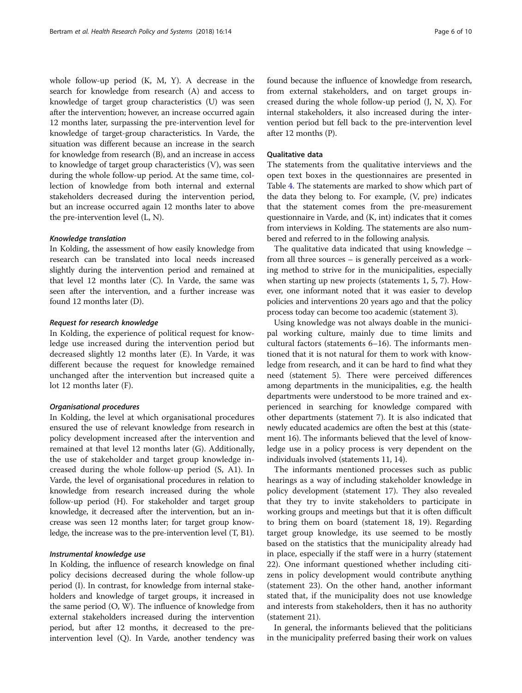whole follow-up period (K, M, Y). A decrease in the search for knowledge from research (A) and access to knowledge of target group characteristics (U) was seen after the intervention; however, an increase occurred again 12 months later, surpassing the pre-intervention level for knowledge of target-group characteristics. In Varde, the situation was different because an increase in the search for knowledge from research (B), and an increase in access to knowledge of target group characteristics (V), was seen during the whole follow-up period. At the same time, collection of knowledge from both internal and external stakeholders decreased during the intervention period, but an increase occurred again 12 months later to above the pre-intervention level (L, N).

#### Knowledge translation

In Kolding, the assessment of how easily knowledge from research can be translated into local needs increased slightly during the intervention period and remained at that level 12 months later (C). In Varde, the same was seen after the intervention, and a further increase was found 12 months later (D).

#### Request for research knowledge

In Kolding, the experience of political request for knowledge use increased during the intervention period but decreased slightly 12 months later (E). In Varde, it was different because the request for knowledge remained unchanged after the intervention but increased quite a lot 12 months later (F).

### Organisational procedures

In Kolding, the level at which organisational procedures ensured the use of relevant knowledge from research in policy development increased after the intervention and remained at that level 12 months later (G). Additionally, the use of stakeholder and target group knowledge increased during the whole follow-up period (S, A1). In Varde, the level of organisational procedures in relation to knowledge from research increased during the whole follow-up period (H). For stakeholder and target group knowledge, it decreased after the intervention, but an increase was seen 12 months later; for target group knowledge, the increase was to the pre-intervention level (T, B1).

## Instrumental knowledge use

In Kolding, the influence of research knowledge on final policy decisions decreased during the whole follow-up period (I). In contrast, for knowledge from internal stakeholders and knowledge of target groups, it increased in the same period (O, W). The influence of knowledge from external stakeholders increased during the intervention period, but after 12 months, it decreased to the preintervention level (Q). In Varde, another tendency was found because the influence of knowledge from research, from external stakeholders, and on target groups increased during the whole follow-up period (J, N, X). For internal stakeholders, it also increased during the intervention period but fell back to the pre-intervention level after 12 months (P).

## Qualitative data

The statements from the qualitative interviews and the open text boxes in the questionnaires are presented in Table [4.](#page-6-0) The statements are marked to show which part of the data they belong to. For example, (V, pre) indicates that the statement comes from the pre-measurement questionnaire in Varde, and (K, int) indicates that it comes from interviews in Kolding. The statements are also numbered and referred to in the following analysis.

The qualitative data indicated that using knowledge – from all three sources – is generally perceived as a working method to strive for in the municipalities, especially when starting up new projects (statements 1, 5, 7). However, one informant noted that it was easier to develop policies and interventions 20 years ago and that the policy process today can become too academic (statement 3).

Using knowledge was not always doable in the municipal working culture, mainly due to time limits and cultural factors (statements 6–16). The informants mentioned that it is not natural for them to work with knowledge from research, and it can be hard to find what they need (statement 5). There were perceived differences among departments in the municipalities, e.g. the health departments were understood to be more trained and experienced in searching for knowledge compared with other departments (statement 7). It is also indicated that newly educated academics are often the best at this (statement 16). The informants believed that the level of knowledge use in a policy process is very dependent on the individuals involved (statements 11, 14).

The informants mentioned processes such as public hearings as a way of including stakeholder knowledge in policy development (statement 17). They also revealed that they try to invite stakeholders to participate in working groups and meetings but that it is often difficult to bring them on board (statement 18, 19). Regarding target group knowledge, its use seemed to be mostly based on the statistics that the municipality already had in place, especially if the staff were in a hurry (statement 22). One informant questioned whether including citizens in policy development would contribute anything (statement 23). On the other hand, another informant stated that, if the municipality does not use knowledge and interests from stakeholders, then it has no authority (statement 21).

In general, the informants believed that the politicians in the municipality preferred basing their work on values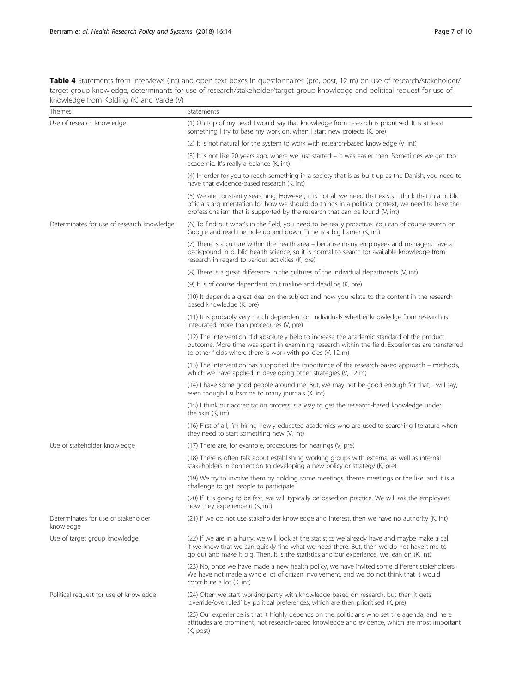<span id="page-6-0"></span>Table 4 Statements from interviews (int) and open text boxes in questionnaires (pre, post, 12 m) on use of research/stakeholder/ target group knowledge, determinants for use of research/stakeholder/target group knowledge and political request for use of knowledge from Kolding (K) and Varde (V)

| Themes                                           | Statements                                                                                                                                                                                                                                                                                |
|--------------------------------------------------|-------------------------------------------------------------------------------------------------------------------------------------------------------------------------------------------------------------------------------------------------------------------------------------------|
| Use of research knowledge                        | (1) On top of my head I would say that knowledge from research is prioritised. It is at least<br>something I try to base my work on, when I start new projects (K, pre)                                                                                                                   |
|                                                  | (2) It is not natural for the system to work with research-based knowledge (V, int)                                                                                                                                                                                                       |
|                                                  | $(3)$ It is not like 20 years ago, where we just started – it was easier then. Sometimes we get too<br>academic. It's really a balance (K, int)                                                                                                                                           |
|                                                  | (4) In order for you to reach something in a society that is as built up as the Danish, you need to<br>have that evidence-based research (K, int)                                                                                                                                         |
|                                                  | (5) We are constantly searching. However, it is not all we need that exists. I think that in a public<br>official's argumentation for how we should do things in a political context, we need to have the<br>professionalism that is supported by the research that can be found (V, int) |
| Determinates for use of research knowledge       | (6) To find out what's in the field, you need to be really proactive. You can of course search on<br>Google and read the pole up and down. Time is a big barrier (K, int)                                                                                                                 |
|                                                  | (7) There is a culture within the health area - because many employees and managers have a<br>background in public health science, so it is normal to search for available knowledge from<br>research in regard to various activities (K, pre)                                            |
|                                                  | (8) There is a great difference in the cultures of the individual departments (V, int)                                                                                                                                                                                                    |
|                                                  | (9) It is of course dependent on timeline and deadline (K, pre)                                                                                                                                                                                                                           |
|                                                  | (10) It depends a great deal on the subject and how you relate to the content in the research<br>based knowledge (K, pre)                                                                                                                                                                 |
|                                                  | (11) It is probably very much dependent on individuals whether knowledge from research is<br>integrated more than procedures (V, pre)                                                                                                                                                     |
|                                                  | (12) The intervention did absolutely help to increase the academic standard of the product<br>outcome. More time was spent in examining research within the field. Experiences are transferred<br>to other fields where there is work with policies (V, 12 m)                             |
|                                                  | (13) The intervention has supported the importance of the research-based approach – methods,<br>which we have applied in developing other strategies (V, 12 m)                                                                                                                            |
|                                                  | (14) I have some good people around me. But, we may not be good enough for that, I will say,<br>even though I subscribe to many journals (K, int)                                                                                                                                         |
|                                                  | (15) I think our accreditation process is a way to get the research-based knowledge under<br>the skin (K, int)                                                                                                                                                                            |
|                                                  | (16) First of all, I'm hiring newly educated academics who are used to searching literature when<br>they need to start something new (V, int)                                                                                                                                             |
| Use of stakeholder knowledge                     | (17) There are, for example, procedures for hearings (V, pre)                                                                                                                                                                                                                             |
|                                                  | (18) There is often talk about establishing working groups with external as well as internal<br>stakeholders in connection to developing a new policy or strategy (K, pre)                                                                                                                |
|                                                  | (19) We try to involve them by holding some meetings, theme meetings or the like, and it is a<br>challenge to get people to participate                                                                                                                                                   |
|                                                  | (20) If it is going to be fast, we will typically be based on practice. We will ask the employees<br>how they experience it (K, int)                                                                                                                                                      |
| Determinates for use of stakeholder<br>knowledge | (21) If we do not use stakeholder knowledge and interest, then we have no authority (K, int)                                                                                                                                                                                              |
| Use of target group knowledge                    | (22) If we are in a hurry, we will look at the statistics we already have and maybe make a call<br>if we know that we can quickly find what we need there. But, then we do not have time to<br>go out and make it big. Then, it is the statistics and our experience, we lean on (K, int) |
|                                                  | (23) No, once we have made a new health policy, we have invited some different stakeholders.<br>We have not made a whole lot of citizen involvement, and we do not think that it would<br>contribute a lot (K, int)                                                                       |
| Political request for use of knowledge           | (24) Often we start working partly with knowledge based on research, but then it gets<br>'override/overruled' by political preferences, which are then prioritised (K, pre)                                                                                                               |
|                                                  | (25) Our experience is that it highly depends on the politicians who set the agenda, and here<br>attitudes are prominent, not research-based knowledge and evidence, which are most important<br>(K, post)                                                                                |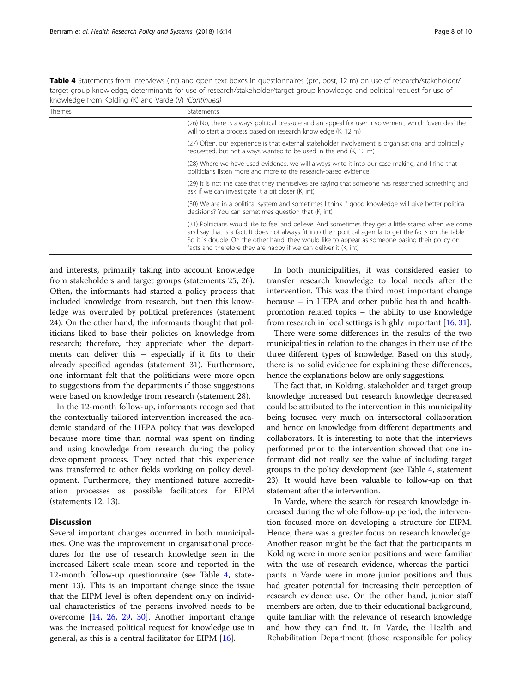Table 4 Statements from interviews (int) and open text boxes in questionnaires (pre, post, 12 m) on use of research/stakeholder/ target group knowledge, determinants for use of research/stakeholder/target group knowledge and political request for use of knowledge from Kolding (K) and Varde (V) (Continued)

| <b>Themes</b> | Statements                                                                                                                                                                                                                                                                                                                                                                               |
|---------------|------------------------------------------------------------------------------------------------------------------------------------------------------------------------------------------------------------------------------------------------------------------------------------------------------------------------------------------------------------------------------------------|
|               | (26) No, there is always political pressure and an appeal for user involvement, which 'overrides' the<br>will to start a process based on research knowledge (K, 12 m)                                                                                                                                                                                                                   |
|               | (27) Often, our experience is that external stakeholder involvement is organisational and politically<br>requested, but not always wanted to be used in the end (K, 12 m)                                                                                                                                                                                                                |
|               | (28) Where we have used evidence, we will always write it into our case making, and I find that<br>politicians listen more and more to the research-based evidence                                                                                                                                                                                                                       |
|               | (29) It is not the case that they themselves are saying that someone has researched something and<br>ask if we can investigate it a bit closer (K, int)                                                                                                                                                                                                                                  |
|               | (30) We are in a political system and sometimes I think if good knowledge will give better political<br>decisions? You can sometimes question that (K, int)                                                                                                                                                                                                                              |
|               | (31) Politicians would like to feel and believe. And sometimes they get a little scared when we come<br>and say that is a fact. It does not always fit into their political agenda to get the facts on the table.<br>So it is double. On the other hand, they would like to appear as someone basing their policy on<br>facts and therefore they are happy if we can deliver it (K, int) |

and interests, primarily taking into account knowledge from stakeholders and target groups (statements 25, 26). Often, the informants had started a policy process that included knowledge from research, but then this knowledge was overruled by political preferences (statement 24). On the other hand, the informants thought that politicians liked to base their policies on knowledge from research; therefore, they appreciate when the departments can deliver this – especially if it fits to their already specified agendas (statement 31). Furthermore, one informant felt that the politicians were more open to suggestions from the departments if those suggestions were based on knowledge from research (statement 28).

In the 12-month follow-up, informants recognised that the contextually tailored intervention increased the academic standard of the HEPA policy that was developed because more time than normal was spent on finding and using knowledge from research during the policy development process. They noted that this experience was transferred to other fields working on policy development. Furthermore, they mentioned future accreditation processes as possible facilitators for EIPM (statements 12, 13).

# **Discussion**

Several important changes occurred in both municipalities. One was the improvement in organisational procedures for the use of research knowledge seen in the increased Likert scale mean score and reported in the 12-month follow-up questionnaire (see Table [4,](#page-6-0) statement 13). This is an important change since the issue that the EIPM level is often dependent only on individual characteristics of the persons involved needs to be overcome [[14,](#page-9-0) [26,](#page-9-0) [29,](#page-9-0) [30](#page-9-0)]. Another important change was the increased political request for knowledge use in general, as this is a central facilitator for EIPM [[16\]](#page-9-0).

In both municipalities, it was considered easier to transfer research knowledge to local needs after the intervention. This was the third most important change because – in HEPA and other public health and healthpromotion related topics – the ability to use knowledge from research in local settings is highly important [\[16,](#page-9-0) [31\]](#page-9-0).

There were some differences in the results of the two municipalities in relation to the changes in their use of the three different types of knowledge. Based on this study, there is no solid evidence for explaining these differences, hence the explanations below are only suggestions.

The fact that, in Kolding, stakeholder and target group knowledge increased but research knowledge decreased could be attributed to the intervention in this municipality being focused very much on intersectoral collaboration and hence on knowledge from different departments and collaborators. It is interesting to note that the interviews performed prior to the intervention showed that one informant did not really see the value of including target groups in the policy development (see Table [4,](#page-6-0) statement 23). It would have been valuable to follow-up on that statement after the intervention.

In Varde, where the search for research knowledge increased during the whole follow-up period, the intervention focused more on developing a structure for EIPM. Hence, there was a greater focus on research knowledge. Another reason might be the fact that the participants in Kolding were in more senior positions and were familiar with the use of research evidence, whereas the participants in Varde were in more junior positions and thus had greater potential for increasing their perception of research evidence use. On the other hand, junior staff members are often, due to their educational background, quite familiar with the relevance of research knowledge and how they can find it. In Varde, the Health and Rehabilitation Department (those responsible for policy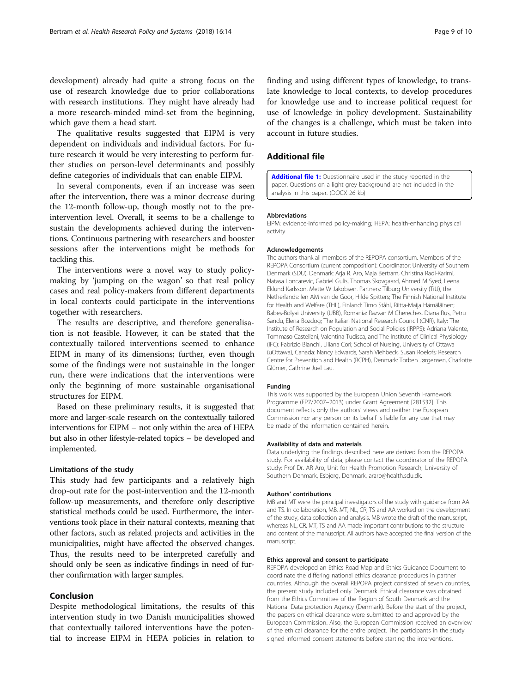<span id="page-8-0"></span>development) already had quite a strong focus on the use of research knowledge due to prior collaborations with research institutions. They might have already had a more research-minded mind-set from the beginning, which gave them a head start.

The qualitative results suggested that EIPM is very dependent on individuals and individual factors. For future research it would be very interesting to perform further studies on person-level determinants and possibly define categories of individuals that can enable EIPM.

In several components, even if an increase was seen after the intervention, there was a minor decrease during the 12-month follow-up, though mostly not to the preintervention level. Overall, it seems to be a challenge to sustain the developments achieved during the interventions. Continuous partnering with researchers and booster sessions after the interventions might be methods for tackling this.

The interventions were a novel way to study policymaking by 'jumping on the wagon' so that real policy cases and real policy-makers from different departments in local contexts could participate in the interventions together with researchers.

The results are descriptive, and therefore generalisation is not feasible. However, it can be stated that the contextually tailored interventions seemed to enhance EIPM in many of its dimensions; further, even though some of the findings were not sustainable in the longer run, there were indications that the interventions were only the beginning of more sustainable organisational structures for EIPM.

Based on these preliminary results, it is suggested that more and larger-scale research on the contextually tailored interventions for EIPM – not only within the area of HEPA but also in other lifestyle-related topics – be developed and implemented.

## Limitations of the study

This study had few participants and a relatively high drop-out rate for the post-intervention and the 12-month follow-up measurements, and therefore only descriptive statistical methods could be used. Furthermore, the interventions took place in their natural contexts, meaning that other factors, such as related projects and activities in the municipalities, might have affected the observed changes. Thus, the results need to be interpreted carefully and should only be seen as indicative findings in need of further confirmation with larger samples.

## Conclusion

Despite methodological limitations, the results of this intervention study in two Danish municipalities showed that contextually tailored interventions have the potential to increase EIPM in HEPA policies in relation to

finding and using different types of knowledge, to translate knowledge to local contexts, to develop procedures for knowledge use and to increase political request for use of knowledge in policy development. Sustainability of the changes is a challenge, which must be taken into account in future studies.

## Additional file

[Additional file 1:](https://doi.org/10.1186/s12961-018-0290-4) Questionnaire used in the study reported in the paper. Questions on a light grey background are not included in the analysis in this paper. (DOCX 26 kb)

#### Abbreviations

EIPM: evidence-informed policy-making; HEPA: health-enhancing physical activity

#### Acknowledgements

The authors thank all members of the REPOPA consortium. Members of the REPOPA Consortium (current composition): Coordinator: University of Southern Denmark (SDU), Denmark: Arja R. Aro, Maja Bertram, Christina Radl-Karimi, Natasa Loncarevic, Gabriel Gulis, Thomas Skovgaard, Ahmed M Syed, Leena Eklund Karlsson, Mette W Jakobsen. Partners: Tilburg University (TiU), the Netherlands: Ien AM van de Goor, Hilde Spitters; The Finnish National Institute for Health and Welfare (THL), Finland: Timo Ståhl, Riitta-Maija Hämäläinen; Babes-Bolyai University (UBB), Romania: Razvan M Chereches, Diana Rus, Petru Sandu, Elena Bozdog; The Italian National Research Council (CNR), Italy: The Institute of Research on Population and Social Policies (IRPPS): Adriana Valente, Tommaso Castellani, Valentina Tudisca, and The Institute of Clinical Physiology (IFC): Fabrizio Bianchi, Liliana Cori; School of Nursing, University of Ottawa (uOttawa), Canada: Nancy Edwards, Sarah Viehbeck, Susan Roelofs; Research Centre for Prevention and Health (RCPH), Denmark: Torben Jørgensen, Charlotte Glümer, Cathrine Juel Lau.

#### Funding

This work was supported by the European Union Seventh Framework Programme (FP7/2007–2013) under Grant Agreement [281532]. This document reflects only the authors' views and neither the European Commission nor any person on its behalf is liable for any use that may be made of the information contained herein.

#### Availability of data and materials

Data underlying the findings described here are derived from the REPOPA study. For availability of data, please contact the coordinator of the REPOPA study: Prof Dr. AR Aro, Unit for Health Promotion Research, University of Southern Denmark, Esbjerg, Denmark, araro@health.sdu.dk.

#### Authors' contributions

MB and MT were the principal investigators of the study with guidance from AA and TS. In collaboration, MB, MT, NL, CR, TS and AA worked on the development of the study, data collection and analysis. MB wrote the draft of the manuscript, whereas NL, CR, MT, TS and AA made important contributions to the structure and content of the manuscript. All authors have accepted the final version of the manuscript.

#### Ethics approval and consent to participate

REPOPA developed an Ethics Road Map and Ethics Guidance Document to coordinate the differing national ethics clearance procedures in partner countries. Although the overall REPOPA project consisted of seven countries, the present study included only Denmark. Ethical clearance was obtained from the Ethics Committee of the Region of South Denmark and the National Data protection Agency (Denmark). Before the start of the project, the papers on ethical clearance were submitted to and approved by the European Commission. Also, the European Commission received an overview of the ethical clearance for the entire project. The participants in the study signed informed consent statements before starting the interventions.